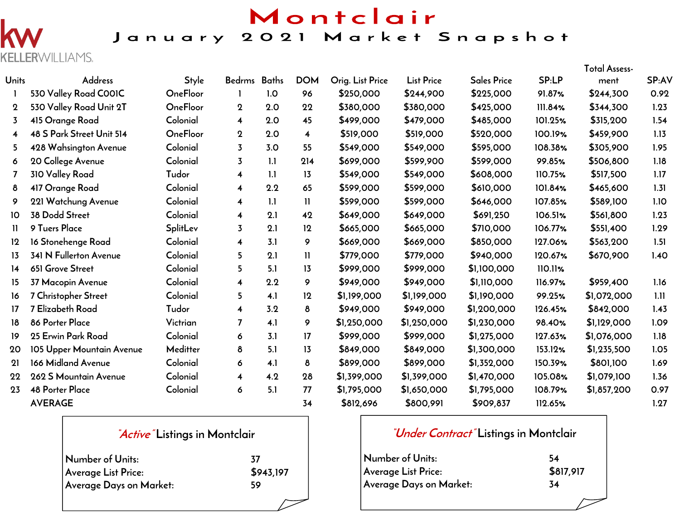## Montclair

## January 2021 Market Snapshot

**ERWILLIAMS.** KELL

|                         |                           |                 |                         |     |                         |                  |                   |                    |         | <b>Total Assess-</b> |       |
|-------------------------|---------------------------|-----------------|-------------------------|-----|-------------------------|------------------|-------------------|--------------------|---------|----------------------|-------|
| <b>Units</b>            | Address                   | <b>Style</b>    | Bedrms Baths            |     | <b>DOM</b>              | Orig. List Price | <b>List Price</b> | <b>Sales Price</b> | SP:LP   | ment                 | SP:AV |
| $\mathbf{I}$            | 530 Valley Road COOIC     | <b>OneFloor</b> | -1                      | 1.0 | 96                      | \$250,000        | \$244,900         | \$225,000          | 91.87%  | \$244,300            | 0.92  |
| $\mathbf 2$             | 530 Valley Road Unit 2T   | <b>OneFloor</b> | $\mathbf 2$             | 2.0 | 22                      | \$380,000        | \$380,000         | \$425,000          | 111.84% | \$344,300            | 1.23  |
| 3                       | 415 Orange Road           | Colonial        | 4                       | 2.0 | 45                      | \$499,000        | \$479,000         | \$485,000          | 101.25% | \$315,200            | 1.54  |
| $\overline{\mathbf{4}}$ | 48 S Park Street Unit 514 | <b>OneFloor</b> | $\mathbf 2$             | 2.0 | $\overline{\mathbf{4}}$ | \$519,000        | \$519,000         | \$520,000          | 100.19% | \$459,900            | 1.13  |
| 5                       | 428 Wahsington Avenue     | Colonial        | $\overline{3}$          | 3.0 | 55                      | \$549,000        | \$549,000         | \$595,000          | 108.38% | \$305,900            | 1.95  |
| 6                       | 20 College Avenue         | Colonial        | 3                       | 1.1 | 214                     | \$699,000        | \$599,900         | \$599,000          | 99.85%  | \$506,800            | 1.18  |
| 7                       | 310 Valley Road           | Tudor           | $\overline{\mathbf{4}}$ | 1.1 | 13                      | \$549,000        | \$549,000         | \$608,000          | 110.75% | \$517,500            | 1.17  |
| 8                       | 417 Orange Road           | Colonial        | 4                       | 2.2 | 65                      | \$599,000        | \$599,000         | \$610,000          | 101.84% | \$465,600            | 1.31  |
| 9                       | 221 Watchung Avenue       | Colonial        | 4                       | 1.1 | $\mathbf{H}$            | \$599,000        | \$599,000         | \$646,000          | 107.85% | \$589,100            | 1.10  |
| 10                      | 38 Dodd Street            | Colonial        | 4                       | 2.1 | 42                      | \$649,000        | \$649,000         | \$691,250          | 106.51% | \$561,800            | 1.23  |
| $\mathbf{1}$            | 9 Tuers Place             | <b>SplitLev</b> | $\overline{3}$          | 2.1 | 12                      | \$665,000        | \$665,000         | \$710,000          | 106.77% | \$551,400            | 1.29  |
| 12                      | 16 Stonehenge Road        | Colonial        | 4                       | 3.1 | 9                       | \$669,000        | \$669,000         | \$850,000          | 127.06% | \$563,200            | 1.51  |
| 13                      | 341 N Fullerton Avenue    | Colonial        | 5                       | 2.1 | $\mathbf{H}$            | \$779,000        | \$779,000         | \$940,000          | 120.67% | \$670,900            | 1.40  |
| 14                      | 651 Grove Street          | Colonial        | 5                       | 5.1 | 13                      | \$999,000        | \$999,000         | \$1,100,000        | 110.11% |                      |       |
| 15                      | 37 Macopin Avenue         | Colonial        | 4                       | 2.2 | 9                       | \$949,000        | \$949,000         | \$1,110,000        | 116.97% | \$959,400            | 1.16  |
| 16                      | 7 Christopher Street      | Colonial        | 5.                      | 4.1 | 12                      | \$1,199,000      | \$1,199,000       | \$1,190,000        | 99.25%  | \$1,072,000          | 1.11  |
| 17                      | 7 Elizabeth Road          | Tudor           | 4                       | 3.2 | 8                       | \$949,000        | \$949,000         | \$1,200,000        | 126.45% | \$842,000            | 1.43  |
| 18                      | 86 Porter Place           | Victrian        | $\overline{ }$          | 4.1 | 9                       | \$1,250,000      | \$1,250,000       | \$1,230,000        | 98.40%  | \$1,129,000          | 1.09  |
| 19                      | 25 Erwin Park Road        | Colonial        | 6                       | 3.1 | 17                      | \$999,000        | \$999,000         | \$1,275,000        | 127.63% | \$1,076,000          | 1.18  |
| 20                      | 105 Upper Mountain Avenue | Meditter        | 8                       | 5.1 | 13                      | \$849,000        | \$849,000         | \$1,300,000        | 153.12% | \$1,235,500          | 1.05  |
| 21                      | 166 Midland Avenue        | Colonial        | 6                       | 4.1 | 8                       | \$899,000        | \$899,000         | \$1,352,000        | 150.39% | \$801,100            | 1.69  |
| 22                      | 262 S Mountain Avenue     | Colonial        | 4                       | 4.2 | 28                      | \$1,399,000      | \$1,399,000       | \$1,470,000        | 105.08% | \$1,079,100          | 1.36  |
| 23                      | <b>48 Porter Place</b>    | Colonial        | 6                       | 5.1 | 77                      | \$1,795,000      | \$1,650,000       | \$1,795,000        | 108.79% | \$1,857,200          | 0.97  |
|                         | <b>AVERAGE</b>            |                 |                         |     | 34                      | \$812,696        | \$800,991         | \$909,837          | 112.65% |                      | 1.27  |

### **"Active" Listings in Montclair**

| Number of Units:           | -37       |
|----------------------------|-----------|
| <b>Average List Price:</b> | \$943,197 |
| Average Days on Market:    | 59        |

## **"Under Contract" Listings in Montclair**

| Number of Units:        | 54        |
|-------------------------|-----------|
| Average List Price:     | \$817,917 |
| Average Days on Market: | 34        |